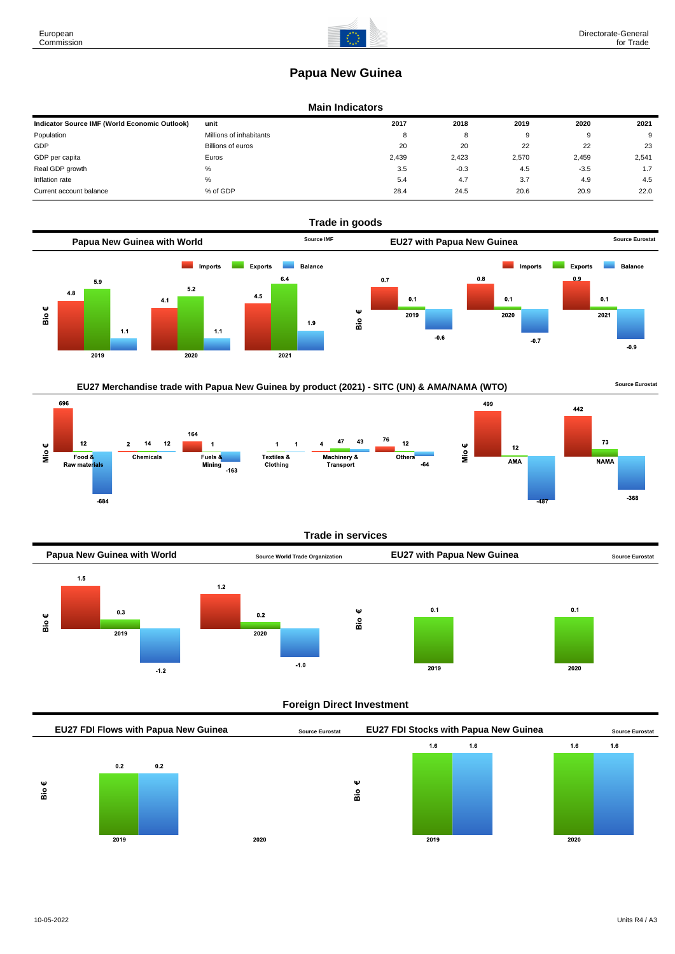# **Papua New Guinea**

#### **Main Indicators**

| Indicator Source IMF (World Economic Outlook) | unit                    | 2017  | 2018   | 2019  | 2020     | 2021  |
|-----------------------------------------------|-------------------------|-------|--------|-------|----------|-------|
| Population                                    | Millions of inhabitants | 8     |        | 9     | $\Omega$ | 9     |
| GDP                                           | Billions of euros       | 20    | 20     | 22    | 22       | 23    |
| GDP per capita                                | Euros                   | 2.439 | 2.423  | 2,570 | 2,459    | 2,541 |
| Real GDP growth                               | %                       | 3.5   | $-0.3$ | 4.5   | $-3.5$   | 1.7   |
| Inflation rate                                | %                       | 5.4   | 4.7    | 3.7   | 4.9      | 4.5   |
| Current account balance                       | % of GDP                | 28.4  | 24.5   | 20.6  | 20.9     | 22.0  |





### **Trade in services**



## **Foreign Direct Investment**